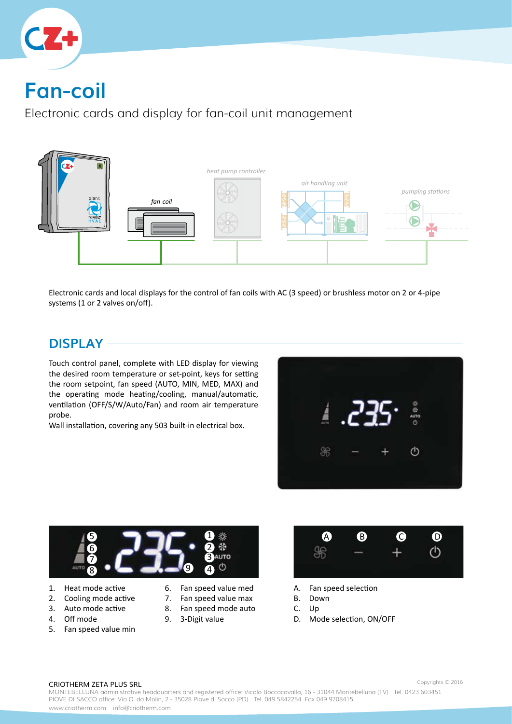

# **Fan-coil**

Electronic cards and display for fan-coil unit management



Electronic cards and local displays for the control of fan coils with AC (3 speed) or brushless motor on 2 or 4-pipe systems (1 or 2 valves on/off).

### **DISPLAY**

Touch control panel, complete with LED display for viewing the desired room temperature or set-point, keys for setting the room setpoint, fan speed (AUTO, MIN, MED, MAX) and the operating mode heating/cooling, manual/automatic, ventilation (OFF/S/W/Auto/Fan) and room air temperature probe.

Wall installation, covering any 503 built-in electrical box.





- 1. Heat mode active
- 2. Cooling mode active
- 3. Auto mode active
- 4. Off mode
- 5. Fan speed value min
- 6. Fan speed value med
- 7. Fan speed value max
- 8. Fan speed mode auto 9. 3-Digit value



- A. Fan speed selection
- B. Down
- C. Up
- D. Mode selection, ON/OFF

#### CRIOTHERM ZETA PLUS SRL

MONTEBELLUNA administrative headquarters and registered office: Vicolo Boccacavalla, 16 - 31044 Montebelluna (TV) Tel. 0423 603451 PIOVE DI SACCO office: Via O. da Molin, 2 - 35028 Piove di Sacco (PD) Tel. 049 5842254 Fax 049 9708415 www.criotherm.com info@criotherm.com